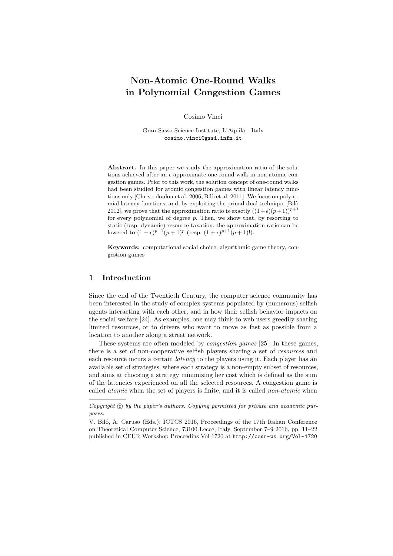# **Non-Atomic One-Round Walks in Polynomial Congestion Games**

Cosimo Vinci

Gran Sasso Science Institute, L'Aquila - Italy cosimo.vinci@gssi.infn.it

**Abstract.** In this paper we study the approximation ratio of the solutions achieved after an  $\epsilon$ -approximate one-round walk in non-atomic congestion games. Prior to this work, the solution concept of one-round walks had been studied for atomic congestion games with linear latency functions only [Christodoulou et al. 2006, Bilò et al. 2011]. We focus on polynomial latency functions, and, by exploiting the primal-dual technique [Bilò 2012], we prove that the approximation ratio is exactly  $((1+\epsilon)(p+1))^{p+1}$ for every polynomial of degree *p*. Then, we show that, by resorting to static (resp. dynamic) resource taxation, the approximation ratio can be lowered to  $(1 + \epsilon)^{p+1}(p+1)^p$  (resp.  $(1 + \epsilon)^{p+1}(p+1)!$ ).

**Keywords:** computational social choice, algorithmic game theory, congestion games

## **1 Introduction**

Since the end of the Twentieth Century, the computer science community has been interested in the study of complex systems populated by (numerous) selfish agents interacting with each other, and in how their selfish behavior impacts on the social welfare [\[24\]](#page-11-0). As examples, one may think to web users greedily sharing limited resources, or to drivers who want to move as fast as possible from a location to another along a street network.

These systems are often modeled by *congestion games* [\[25\]](#page-11-1). In these games, there is a set of non-cooperative selfish players sharing a set of *resources* and each resource incurs a certain *latency* to the players using it. Each player has an available set of strategies, where each strategy is a non-empty subset of resources, and aims at choosing a strategy minimizing her cost which is defined as the sum of the latencies experienced on all the selected resources. A congestion game is called *atomic* when the set of players is finite, and it is called *non-atomic* when

Copyright  $\odot$  by the paper's authors. Copying permitted for private and academic pur*poses.*

V. Biló, A. Caruso (Eds.): ICTCS 2016, Proceedings of the 17th Italian Conference on Theoretical Computer Science, 73100 Lecce, Italy, September 7–9 2016, pp. 11[–22](#page-11-2) published in CEUR Workshop Proceedins Vol-1720 at <http://ceur-ws.org/Vol-1720>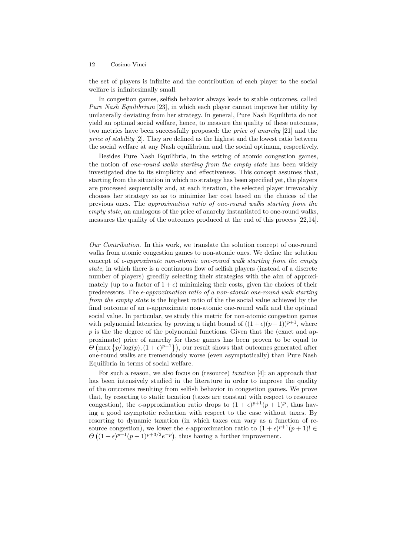the set of players is infinite and the contribution of each player to the social welfare is infinitesimally small.

In congestion games, selfish behavior always leads to stable outcomes, called *Pure Nash Equilibrium* [\[23\]](#page-11-3), in which each player cannot improve her utility by unilaterally deviating from her strategy. In general, Pure Nash Equilibria do not yield an optimal social welfare, hence, to measure the quality of these outcomes, two metrics have been successfully proposed: the *price of anarchy* [\[21\]](#page-11-4) and the *price of stability* [\[2\]](#page-10-0). They are defined as the highest and the lowest ratio between the social welfare at any Nash equilibrium and the social optimum, respectively.

Besides Pure Nash Equilibria, in the setting of atomic congestion games, the notion of *one-round walks starting from the empty state* has been widely investigated due to its simplicity and effectiveness. This concept assumes that, starting from the situation in which no strategy has been specified yet, the players are processed sequentially and, at each iteration, the selected player irrevocably chooses her strategy so as to minimize her cost based on the choices of the previous ones. The *approximation ratio of one-round walks starting from the empty state*, an analogous of the price of anarchy instantiated to one-round walks, measures the quality of the outcomes produced at the end of this process [\[22,](#page-11-5)[14\]](#page-11-6).

*Our Contribution.* In this work, we translate the solution concept of one-round walks from atomic congestion games to non-atomic ones. We define the solution concept of  $\epsilon$ -*approximate non-atomic one-round walk starting from the empty state*, in which there is a continuous flow of selfish players (instead of a discrete number of players) greedily selecting their strategies with the aim of approximately (up to a factor of  $1 + \epsilon$ ) minimizing their costs, given the choices of their predecessors. The  $\epsilon$ -approximation ratio of a non-atomic one-round walk starting *from the empty state* is the highest ratio of the the social value achieved by the final outcome of an  $\epsilon$ -approximate non-atomic one-round walk and the optimal social value. In particular, we study this metric for non-atomic congestion games with polynomial latencies, by proving a tight bound of  $((1 + \epsilon)(p + 1))^{p+1}$ , where p is the the degree of the polynomial functions. Given that the (exact and approximate) price of anarchy for these games has been proven to be equal to  $\Theta$  (max  $\{p/\log(p), (1+\epsilon)^{p+1}\}\)$ , our result shows that outcomes generated after one-round walks are tremendously worse (even asymptotically) than Pure Nash Equilibria in terms of social welfare.

For such a reason, we also focus on (resource) *taxation* [\[4\]](#page-10-1): an approach that has been intensively studied in the literature in order to improve the quality of the outcomes resulting from selfish behavior in congestion games. We prove that, by resorting to static taxation (taxes are constant with respect to resource congestion), the  $\epsilon$ -approximation ratio drops to  $(1 + \epsilon)^{p+1}(p+1)^p$ , thus having a good asymptotic reduction with respect to the case without taxes. By resorting to dynamic taxation (in which taxes can vary as a function of resource congestion), we lower the  $\epsilon$ -approximation ratio to  $(1 + \epsilon)^{p+1}(p+1)! \in$  $\Theta\left((1+\epsilon)^{p+1}(p+1)^{p+3/2}e^{-p}\right)$ , thus having a further improvement.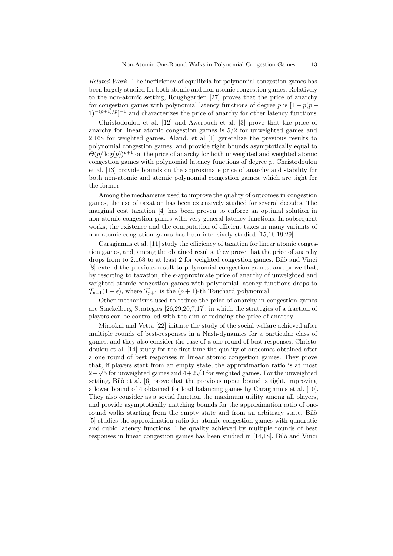*Related Work.* The inefficiency of equilibria for polynomial congestion games has been largely studied for both atomic and non-atomic congestion games. Relatively to the non-atomic setting, Roughgarden [\[27\]](#page-11-7) proves that the price of anarchy for congestion games with polynomial latency functions of degree *p* is  $[1 - p(p +$  $1)^{-(p+1)/p}$ <sup>-1</sup> and characterizes the price of anarchy for other latency functions.

Christodoulou et al. [\[12\]](#page-11-8) and Awerbuch et al. [\[3\]](#page-10-2) prove that the price of anarchy for linear atomic congestion games is 5*/*2 for unweighted games and 2.168 for weighted games. Aland. et al [\[1\]](#page-10-3) generalize the previous results to polynomial congestion games, and provide tight bounds asymptotically equal to  $\Theta(p/\log(p))^{p+1}$  on the price of anarchy for both unweighted and weighted atomic congestion games with polynomial latency functions of degree *p*. Christodoulou et al. [\[13\]](#page-11-9) provide bounds on the approximate price of anarchy and stability for both non-atomic and atomic polynomial congestion games, which are tight for the former.

Among the mechanisms used to improve the quality of outcomes in congestion games, the use of taxation has been extensively studied for several decades. The marginal cost taxation [\[4\]](#page-10-1) has been proven to enforce an optimal solution in non-atomic congestion games with very general latency functions. In subsequent works, the existence and the computation of efficient taxes in many variants of non-atomic congestion games has been intensively studied [\[15,](#page-11-10)[16](#page-11-11)[,19,](#page-11-12)[29\]](#page-11-13).

Caragiannis et al. [\[11\]](#page-10-4) study the efficiency of taxation for linear atomic congestion games, and, among the obtained results, they prove that the price of anarchy drops from to 2*.*168 to at least 2 for weighted congestion games. Bilò and Vinci [\[8\]](#page-10-5) extend the previous result to polynomial congestion games, and prove that, by resorting to taxation, the  $\epsilon$ -approximate price of anarchy of unweighted and weighted atomic congestion games with polynomial latency functions drops to  $\mathcal{T}_{p+1}(1+\epsilon)$ , where  $\mathcal{T}_{p+1}$  is the  $(p+1)$ -th Touchard polynomial.

Other mechanisms used to reduce the price of anarchy in congestion games are Stackelberg Strategies [\[26,](#page-11-14)[29](#page-11-13)[,20](#page-11-15)[,7,](#page-10-6)[17\]](#page-11-16), in which the strategies of a fraction of players can be controlled with the aim of reducing the price of anarchy.

Mirrokni and Vetta [\[22\]](#page-11-5) initiate the study of the social welfare achieved after multiple rounds of best-responses in a Nash-dynamics for a particular class of games, and they also consider the case of a one round of best responses. Christodoulou et al. [\[14\]](#page-11-6) study for the first time the quality of outcomes obtained after a one round of best responses in linear atomic congestion games. They prove that, if players start from an empty state, the approximation ratio is at most that, if players start from an empty state, the approximation ratio is at most  $2+\sqrt{5}$  for unweighted games and  $4+2\sqrt{3}$  for weighted games. For the unweighted setting, Bilò et al. [\[6\]](#page-10-7) prove that the previous upper bound is tight, improving a lower bound of 4 obtained for load balancing games by Caragiannis et al. [\[10\]](#page-10-8). They also consider as a social function the maximum utility among all players, and provide asymptotically matching bounds for the approximation ratio of oneround walks starting from the empty state and from an arbitrary state. Bilò [\[5\]](#page-10-9) studies the approximation ratio for atomic congestion games with quadratic and cubic latency functions. The quality achieved by multiple rounds of best responses in linear congestion games has been studied in [\[14](#page-11-6)[,18\]](#page-11-17). Bilò and Vinci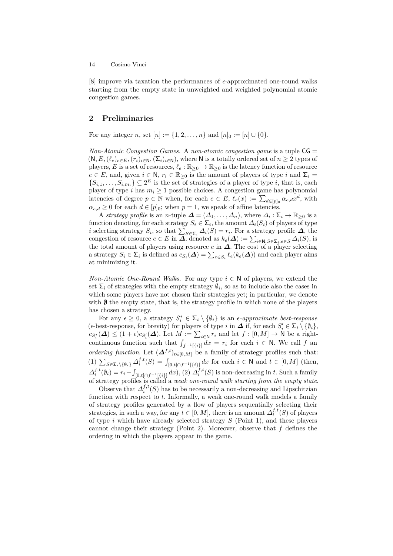[\[8\]](#page-10-5) improve via taxation the performances of  $\epsilon$ -approximated one-round walks starting from the empty state in unweighted and weighted polynomial atomic congestion games.

### **2 Preliminaries**

For any integer *n*, set  $[n] := \{1, 2, ..., n\}$  and  $[n]_0 := [n] \cup \{0\}.$ 

*Non-Atomic Congestion Games.* A *non-atomic congestion game* is a tuple CG =  $(N, E, (\ell_e)_{e \in E}, (r_i)_{i \in N}, (\Sigma_i)_{i \in N})$ , where N is a totally ordered set of  $n \geq 2$  types of players, *E* is a set of resources,  $\ell_e : \mathbb{R}_{\geq 0} \to \mathbb{R}_{\geq 0}$  is the latency function of resource  $e \in E$ , and, given  $i \in \mathbb{N}$ ,  $r_i \in \mathbb{R}_{\geq 0}$  is the amount of players of type *i* and  $\Sigma_i =$  $\{S_{i,1},\ldots,S_{i,m_i}\}\subseteq 2^E$  is the set of strategies of a player of type *i*, that is, each player of type *i* has  $m_i \geq 1$  possible choices. A congestion game has polynomial latencies of degree  $p \in \mathbb{N}$  when, for each  $e \in E$ ,  $\ell_e(x) := \sum_{d \in [p]_0} \alpha_{e,d} x^d$ , with  $\alpha_{e,d} \geq 0$  for each  $d \in [p]_0$ ; when  $p = 1$ , we speak of affine latencies.

A *strategy profile* is an *n*-tuple  $\Delta = (\Delta_1, \ldots, \Delta_n)$ , where  $\Delta_i : \Sigma_i \to \mathbb{R}_{\geq 0}$  is a function denoting, for each strategy  $S_i \in \Sigma_i$ , the amount  $\Delta_i(S_i)$  of players of type *i* selecting strategy  $S_i$ , so that  $\sum_{S \in \Sigma_i} \Delta_i(S) = r_i$ . For a strategy profile  $\Delta$ , the congestion of resource  $e \in E$  in  $\Delta$ , denoted as  $k_e(\Delta) := \sum_{i \in \mathbb{N}, S \in \Sigma_i : e \in S} \Delta_i(S)$ , is the total amount of players using resource *e* in ∆. The cost of a player selecting a strategy  $S_i \in \Sigma_i$  is defined as  $c_{S_i}(\Delta) = \sum_{e \in S_i} \ell_e(k_e(\Delta))$  and each player aims at minimizing it.

*Non-Atomic One-Round Walks.* For any type  $i \in \mathbb{N}$  of players, we extend the set  $\Sigma_i$  of strategies with the empty strategy  $\emptyset_i$ , so as to include also the cases in which some players have not chosen their strategies yet; in particular, we denote with  $\emptyset$  the empty state, that is, the strategy profile in which none of the players has chosen a strategy.

For any  $\epsilon \geq 0$ , a strategy  $S_i^* \in \Sigma_i \setminus \{\emptyset_i\}$  is an  $\epsilon$ -approximate best-response  $(\epsilon\text{-best-response}, \text{ for brevity}) \text{ for players of type } i \text{ in } \Delta \text{ if, for each } S'_i \in \Sigma_i \setminus \{\emptyset_i\},\$  $c_{S_i^*}(\Delta) \leq (1+\epsilon)c_{S_i'}(\Delta)$ . Let  $M := \sum_{i\in\mathbb{N}} r_i$  and let  $f : [0, M] \to \mathbb{N}$  be a rightcontinuous function such that  $\int_{f^{-1}[\{i\}]} dx = r_i$  for each  $i \in \mathbb{N}$ . We call  $f$  an *ordering function.* Let  $({\Delta}^{f,t})_{t \in [0,M]}$  be a family of strategy profiles such that: (1)  $\sum_{S \in \Sigma_i \setminus \{\emptyset_i\}} \Delta_i^{f,t}(S) = \int_{[0,t] \cap f^{-1}[\{i\}]} dx$  for each *i* ∈ N and *t* ∈ [0*, M*] (then,  $\Delta_i^{f,t}(\emptyset_i) = r_i - \int_{[0,t] \cap f^{-1}[\{i\}]} dx$ , (2)  $\Delta_i^{f,t}(S)$  is non-decreasing in *t*. Such a family of strategy profiles is called a *weak one-round walk starting from the empty state*.

Observe that  $\Delta_i^{f,t}(S)$  has to be necessarily a non-decreasing and Lipschitzian function with respect to *t*. Informally, a weak one-round walk models a family of strategy profiles generated by a flow of players sequentially selecting their strategies, in such a way, for any  $t \in [0, M]$ , there is an amount  $\Delta_i^{f,t}(S)$  of players of type *i* which have already selected strategy *S* (Point 1), and these players cannot change their strategy (Point 2). Moreover, observe that *f* defines the ordering in which the players appear in the game.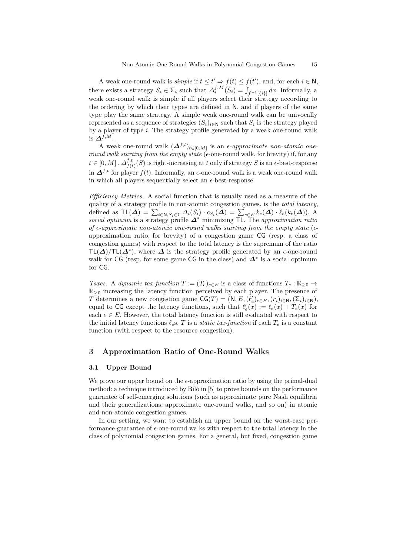A weak one-round walk is *simple* if  $t \le t' \Rightarrow f(t) \le f(t')$ , and, for each  $i \in \mathbb{N}$ , there exists a strategy  $S_i \in \Sigma_i$  such that  $\Delta_i^{f,M}(S_i) = \int_{f^{-1}[\{i\}]} dx$ . Informally, a weak one-round walk is simple if all players select their strategy according to the ordering by which their types are defined in N, and if players of the same type play the same strategy. A simple weak one-round walk can be univocally represented as a sequence of strategies  $(S_i)_{i \in \mathbb{N}}$  such that  $S_i$  is the strategy played by a player of type *i*. The strategy profile generated by a weak one-round walk is ∆*f,M*.

A weak one-round walk  $(\Delta^{f,t})_{t \in [0,M]}$  is an *e-approximate non-atomic oneround walk starting from the empty state* ( $\epsilon$ -one-round walk, for brevity) if, for any  $t \in [0, M], \Delta_{f(t)}^{f,t}$  $f_{(t)}^{t,t}(S)$  is right-increasing at *t* only if strategy *S* is an  $\epsilon$ -best-response in  $\Delta^{f,t}$  for player  $f(t)$ . Informally, an  $\epsilon$ -one-round walk is a weak one-round walk in which all players sequentially select an  $\epsilon$ -best-response.

*Efficiency Metrics.* A social function that is usually used as a measure of the quality of a strategy profile in non-atomic congestion games, is the *total latency*, defined as  $\mathsf{TL}(\mathbf{\Delta}) = \sum_{i \in \mathbb{N}, S_i \in \Sigma} \Delta_i(S_i) \cdot c_{S_i}(\mathbf{\Delta}) = \sum_{e \in E} k_e(\mathbf{\Delta}) \cdot \ell_e(k_e(\mathbf{\Delta}))$ . A *social optimum* is a strategy profile ∆<sup>∗</sup> minimizing TL. The *approximation ratio of*  $\epsilon$ -approximate non-atomic one-round walks starting from the empty state ( $\epsilon$ approximation ratio, for brevity) of a congestion game CG (resp. a class of congestion games) with respect to the total latency is the supremum of the ratio  $TL(\Delta)/TL(\Delta^*)$ , where  $\Delta$  is the strategy profile generated by an  $\epsilon$ -one-round walk for CG (resp. for some game CG in the class) and  $\Delta^*$  is a social optimum for CG.

*Taxes.* A *dynamic tax-function*  $T := (T_e)_{e \in E}$  is a class of functions  $T_e : \mathbb{R}_{\geq 0} \to$  $\mathbb{R}_{\geq 0}$  increasing the latency function perceived by each player. The presence of *T* determines a new congestion game  $\textsf{CG}(T) = (\textsf{N}, E, (\ell'_e)_{e \in E}, (r_i)_{i \in \textsf{N}}, (\Sigma_i)_{i \in \textsf{N}})$ , equal to CG except the latency functions, such that  $\ell'_{e}(x) := \ell_{e}(x) + T_{e}(x)$  for each  $e \in E$ . However, the total latency function is still evaluated with respect to the initial latency functions  $\ell_e$ s. *T* is a *static tax-function* if each  $T_e$  is a constant function (with respect to the resource congestion).

## **3 Approximation Ratio of One-Round Walks**

#### **3.1 Upper Bound**

We prove our upper bound on the  $\epsilon$ -approximation ratio by using the primal-dual method: a technique introduced by Bilò in [\[5\]](#page-10-9) to prove bounds on the performance guarantee of self-emerging solutions (such as approximate pure Nash equilibria and their generalizations, approximate one-round walks, and so on) in atomic and non-atomic congestion games.

In our setting, we want to establish an upper bound on the worst-case performance guarantee of  $\epsilon$ -one-round walks with respect to the total latency in the class of polynomial congestion games. For a general, but fixed, congestion game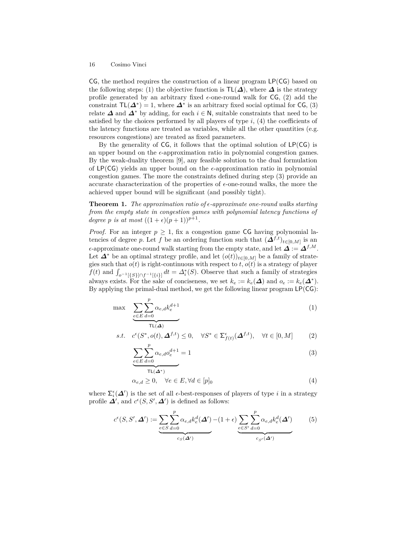$CG$ , the method requires the construction of a linear program  $LP(CG)$  based on the following steps: (1) the objective function is  $\mathsf{TL}(\Delta)$ , where  $\Delta$  is the strategy profile generated by an arbitrary fixed  $\epsilon$ -one-round walk for CG, (2) add the constraint  $TL(\mathbf{\Delta}^*) = 1$ , where  $\mathbf{\Delta}^*$  is an arbitrary fixed social optimal for CG, (3) relate  $\Delta$  and  $\Delta^*$  by adding, for each  $i \in \mathbb{N}$ , suitable constraints that need to be satisfied by the choices performed by all players of type  $i$ ,  $(4)$  the coefficients of the latency functions are treated as variables, while all the other quantities (e.g. resources congestions) are treated as fixed parameters.

By the generality of  $CG$ , it follows that the optimal solution of  $LP(CG)$  is an upper bound on the  $\epsilon$ -approximation ratio in polynomial congestion games. By the weak-duality theorem [\[9\]](#page-10-10), any feasible solution to the dual formulation of LP(CG) yields an upper bound on the  $\epsilon$ -approximation ratio in polynomial congestion games. The more the constraints defined during step (3) provide an accurate characterization of the properties of  $\epsilon$ -one-round walks, the more the achieved upper bound will be significant (and possibly tight).

<span id="page-5-1"></span>**Theorem 1.** *The approximation ratio of*  $\epsilon$ *-approximate one-round walks starting from the empty state in congestion games with polynomial latency functions of degree p is at most*  $((1 + \epsilon)(p + 1))^{p+1}$ .

*Proof.* For an integer  $p \geq 1$ , fix a congestion game CG having polynomial latencies of degree *p*. Let *f* be an ordering function such that  $(\Delta^{f,t})_{t \in [0,M]}$  is an  $\epsilon$ -approximate one-round walk starting from the empty state, and let  $\Delta := \Delta^{f,M}$ . Let  $\Delta^*$  be an optimal strategy profile, and let  $(o(t))_{t\in[0,M]}$  be a family of strategies such that  $o(t)$  is right-continuous with respect to  $t$ ,  $o(t)$  is a strategy of player  $f(t)$  and  $\int_{o^{-1}[\{S\}] \cap f^{-1}[\{i\}]} dt = \Delta_i^*(S)$ . Observe that such a family of strategies always exists. For the sake of conciseness, we set  $k_e := k_e(\Delta)$  and  $o_e := k_e(\Delta^*)$ . By applying the primal-dual method, we get the following linear program  $LP(CG)$ :

$$
\max \sum_{e \in E} \sum_{d=0}^{p} \alpha_{e,d} k_e^{d+1}
$$
\n<sup>(1)</sup>

s.t. 
$$
c^{\epsilon}(S^*, o(t), \Delta^{f,t}) \leq 0
$$
,  $\forall S^* \in \Sigma^{\epsilon}_{f(t)}(\Delta^{f,t}), \forall t \in [0, M]$  (2)

<span id="page-5-0"></span>
$$
\sum_{e \in E} \sum_{d=0}^{p} \alpha_{e,d} o_e^{d+1} = 1
$$
\n(3)

$$
\overline{\text{TL}(\Delta^*)}
$$
  
\n
$$
\alpha_{e,d} \ge 0, \quad \forall e \in E, \forall d \in [p]_0
$$
\n
$$
(4)
$$

where  $\Sigma_i^{\epsilon}(\Delta')$  is the set of all  $\epsilon$ -best-responses of players of type *i* in a strategy profile  $\mathbf{\Delta}'$ , and  $c^{\epsilon}(S, S', \mathbf{\Delta}')$  is defined as follows:

$$
c^{\epsilon}(S, S', \Delta') := \underbrace{\sum_{e \in S} \sum_{d=0}^{p} \alpha_{e,d} k_e^d(\Delta')}_{c_S(\Delta')} - (1 + \epsilon) \underbrace{\sum_{e \in S'} \sum_{d=0}^{p} \alpha_{e,d} k_e^d(\Delta')}_{c_{S'}(\Delta')} \tag{5}
$$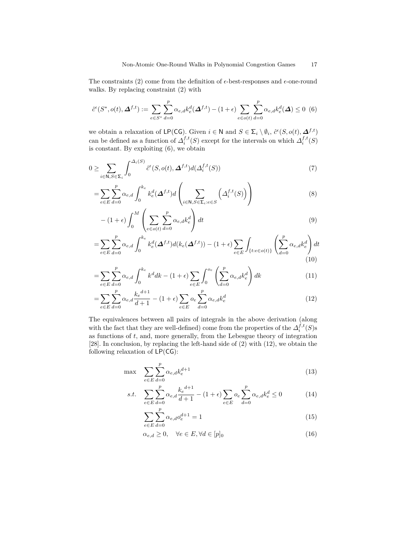The constraints [\(2\)](#page-5-0) come from the definition of  $\epsilon$ -best-responses and  $\epsilon$ -one-round walks. By replacing constraint [\(2\)](#page-5-0) with

<span id="page-6-0"></span>
$$
\hat{c}^{\epsilon}(S^*, o(t), \Delta^{f,t}) := \sum_{e \in S^*} \sum_{d=0}^p \alpha_{e,d} k_e^d(\Delta^{f,t}) - (1+\epsilon) \sum_{e \in o(t)} \sum_{d=0}^p \alpha_{e,d} k_e^d(\Delta) \le 0 \tag{6}
$$

we obtain a relaxation of LP(CG). Given  $i \in \mathbb{N}$  and  $S \in \Sigma_i \setminus \emptyset_i$ ,  $\hat{c}^{\epsilon}(S, o(t), \Delta^{f,t})$ can be defined as a function of  $\Delta_i^{f,t}(S)$  except for the intervals on which  $\Delta_i^{f,t}(S)$ is constant. By exploiting [\(6\)](#page-6-0), we obtain

$$
0 \ge \sum_{i \in \mathbb{N}, S \in \Sigma_i} \int_0^{\Delta_i(S)} \hat{c}^{\epsilon}(S, o(t), \Delta^{f, t}) d(\Delta_i^{f, t}(S)) \tag{7}
$$

$$
= \sum_{e \in E} \sum_{d=0}^{p} \alpha_{e,d} \int_{0}^{k_e} k_e^d(\Delta^{f,t}) d\left(\sum_{i \in \mathbb{N}, S \in \Sigma_i : e \in S} \left(\Delta_i^{f,t}(S)\right)\right)
$$
(8)

$$
-(1+\epsilon)\int_0^M \left(\sum_{e \in o(t)} \sum_{d=0}^p \alpha_{e,d} k_e^d\right) dt\tag{9}
$$

$$
=\sum_{e\in E}\sum_{d=0}^p\alpha_{e,d}\int_0^{k_e}k_e^d(\Delta^{f,t})d(k_e(\Delta^{f,t}))-(1+\epsilon)\sum_{e\in E}\int_{\{t:e\in o(t)\}}\left(\sum_{d=0}^p\alpha_{e,d}k_e^d\right)dt
$$
\n(10)

$$
= \sum_{e \in E} \sum_{d=0}^{p} \alpha_{e,d} \int_0^{k_e} k^d dk - (1+\epsilon) \sum_{e \in E} \int_0^{o_e} \left( \sum_{d=0}^{p} \alpha_{e,d} k_e^d \right) dk \tag{11}
$$

$$
= \sum_{e \in E} \sum_{d=0}^{p} \alpha_{e,d} \frac{k_e^{d+1}}{d+1} - (1+\epsilon) \sum_{e \in E} o_e \sum_{d=0}^{p} \alpha_{e,d} k_e^d
$$
 (12)

The equivalences between all pairs of integrals in the above derivation (along with the fact that they are well-defined) come from the properties of the  $\Delta_i^{f,t}(S)$ s as functions of *t*, and, more generally, from the Lebesgue theory of integration [\[28\]](#page-11-18). In conclusion, by replacing the left-hand side of [\(2\)](#page-5-0) with [\(12\)](#page-6-1), we obtain the following relaxation of  $LP(CG)$ :

<span id="page-6-1"></span>
$$
\max \quad \sum_{e \in E} \sum_{d=0}^{p} \alpha_{e,d} k_e^{d+1} \tag{13}
$$

s.t. 
$$
\sum_{e \in E} \sum_{d=0}^{p} \alpha_{e,d} \frac{k_e^{d+1}}{d+1} - (1+\epsilon) \sum_{e \in E} o_e \sum_{d=0}^{p} \alpha_{e,d} k_e^d \le 0
$$
 (14)

$$
\sum_{e \in E} \sum_{d=0}^{p} \alpha_{e,d} o_e^{d+1} = 1
$$
\n(15)

$$
\alpha_{e,d} \ge 0, \quad \forall e \in E, \forall d \in [p]_0 \tag{16}
$$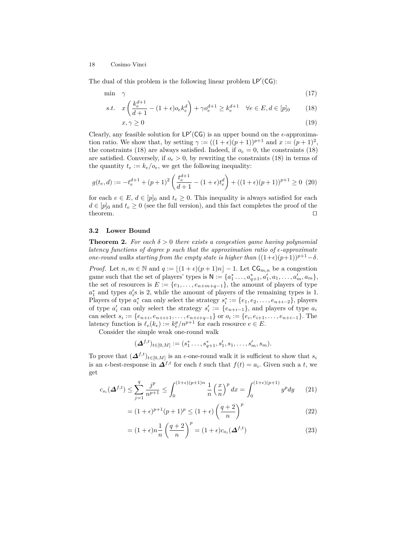The dual of this problem is the following linear problem  $LP'(CG)$ :

$$
\min \quad \gamma \tag{17}
$$

s.t. 
$$
x\left(\frac{k_e^{d+1}}{d+1} - (1+\epsilon)o_ek_e^d\right) + \gamma o_e^{d+1} \ge k_e^{d+1} \quad \forall e \in E, d \in [p]_0
$$
 (18)

<span id="page-7-0"></span>
$$
x, \gamma \ge 0 \tag{19}
$$

Clearly, any feasible solution for  $LP'(CG)$  is an upper bound on the  $\epsilon$ -approximation ratio. We show that, by setting  $\gamma := ((1 + \epsilon)(p + 1))^{p+1}$  and  $x := (p + 1)^2$ , the constraints [\(18\)](#page-7-0) are always satisfied. Indeed, if  $o_e = 0$ , the constraints (18) are satisfied. Conversely, if  $o_e > 0$ , by rewriting the constraints [\(18\)](#page-7-0) in terms of the quantity  $t_e := k_e / o_e$ , we get the following inequality:

$$
g(t_e, d) := -t_e^{d+1} + (p+1)^2 \left( \frac{t_e^{d+1}}{d+1} - (1+\epsilon)t_e^d \right) + ((1+\epsilon)(p+1))^{p+1} \ge 0 \tag{20}
$$

for each  $e \in E$ ,  $d \in [p]_0$  and  $t_e \geq 0$ . This inequality is always satisfied for each  $d \in [p]_0$  and  $t_e \geq 0$  (see the full version), and this fact completes the proof of the  $\Box$  theorem.

#### **3.2 Lower Bound**

**Theorem 2.** For each  $\delta > 0$  there exists a congestion game having polynomial *latency functions of degree p such that the approximation ratio of -approximate one-round walks starting from the empty state is higher than*  $((1+\epsilon)(p+1))^{p+1} - \delta$ *.* 

*Proof.* Let  $n, m \in \mathbb{N}$  and  $q := \lfloor (1 + \epsilon)(p + 1)n \rfloor - 1$ . Let  $\mathsf{CG}_{m,n}$  be a congestion game such that the set of players' types is  $N := \{a_1^*, \ldots, a_{q+1}^*, a_1', a_1, \ldots, a_m', a_m\},\$ the set of resources is  $E := \{e_1, \ldots, e_{n+m+q-1}\},\$  the amount of players of type  $a_1^*$  and types  $a_i$ 's is 2, while the amount of players of the remaining types is 1. Players of type  $a_i^*$  can only select the strategy  $s_i^* := \{e_1, e_2, \ldots, e_{n+i-2}\}$ , players of type  $a'_i$  can only select the strategy  $s'_i := \{e_{n+i-1}\}\$ , and players of type  $a_i$ can select  $s_i := \{e_{n+i}, e_{n+i+1}, \ldots, e_{n+i+q-1}\}$  or  $o_i := \{e_i, e_{i+1}, \ldots, e_{n+i-1}\}.$  The latency function is  $\ell_e(k_e) := k_e^p/n^{p+1}$  for each resource  $e \in E$ .

Consider the simple weak one-round walk

$$
(\Delta^{f,t})_{t\in[0,M]}:=(s_1^*\ldots,s_{q+1}^*,s_1',s_1,\ldots,s_m',s_m).
$$

To prove that  $(\Delta^{f,t})_{t\in[0,M]}$  is an  $\epsilon$ -one-round walk it is sufficient to show that  $s_i$ is an  $\epsilon$ -best-response in  $\Delta^{f,t}$  for each *t* such that  $f(t) = a_i$ . Given such a *t*, we get

$$
c_{s_i}(\mathbf{\Delta}^{f,t}) \le \sum_{j=1}^q \frac{j^p}{n^{p+1}} \le \int_0^{(1+\epsilon)(p+1)n} \frac{1}{n} \left(\frac{x}{n}\right)^p dx = \int_0^{(1+\epsilon)(p+1)} y^p dy \tag{21}
$$

$$
= (1+\epsilon)^{p+1}(p+1)^p \le (1+\epsilon) \left(\frac{q+2}{n}\right)^p \tag{22}
$$

$$
= (1+\epsilon)n\frac{1}{n}\left(\frac{q+2}{n}\right)^p = (1+\epsilon)c_{o_i}(\Delta^{f,t})
$$
\n(23)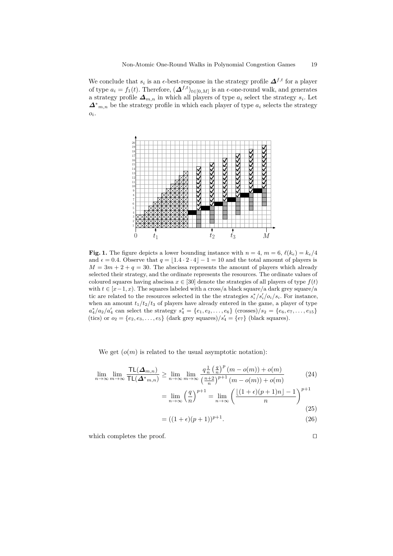We conclude that  $s_i$  is an  $\epsilon$ -best-response in the strategy profile  $\Delta^{f,t}$  for a player of type  $a_i = f_1(t)$ . Therefore,  $(\mathbf{\Delta}^{f,t})_{t \in [0,M]}$  is an  $\epsilon$ -one-round walk, and generates a strategy profile  $\Delta_{m,n}$  in which all players of type  $a_i$  select the strategy  $s_i$ . Let  $\Delta^*$ <sub>*m,n*</sub> be the strategy profile in which each player of type  $a_i$  selects the strategy *oi* .



**Fig. 1.** The figure depicts a lower bounding instance with  $n = 4$ ,  $m = 6$ ,  $\ell(k_e) = k_e/4$ and  $\epsilon = 0.4$ . Observe that  $q = \lfloor 1.4 \cdot 2 \cdot 4 \rfloor - 1 = 10$  and the total amount of players is  $M = 3m + 2 + q = 30$ . The abscissa represents the amount of players which already selected their strategy, and the ordinate represents the resources. The ordinate values of coloured squares having abscissa  $x \in [30]$  denote the strategies of all players of type  $f(t)$ with  $t \in [x-1, x)$ . The squares labeled with a cross/a black square/a dark grey square/a tic are related to the resources selected in the the strategies  $s_i^* / s_i' / o_i / s_i$ . For instance, when an amount  $t_1/t_2/t_3$  of players have already entered in the game, a player of type  $a_4^*/a_2/a_4'$  can select the strategy  $s_4^* = \{e_1, e_2, \ldots, e_6\}$  (crosses)/ $s_2 = \{e_6, e_7, \ldots, e_{15}\}$ (tics) or  $o_2 = \{e_2, e_3, \ldots, e_5\}$  (dark grey squares)/ $s'_4 = \{e_7\}$  (black squares).

We get  $(o(m)$  is related to the usual asymptotic notation):

$$
\lim_{n \to \infty} \lim_{m \to \infty} \frac{\text{TL}(\Delta_{m,n})}{\text{TL}(\Delta^*_{m,n})} \ge \lim_{n \to \infty} \lim_{m \to \infty} \frac{q \frac{1}{n} \left(\frac{q}{n}\right)^p (m - o(m)) + o(m)}{\left(\frac{n+2}{n}\right)^{p+1} (m - o(m)) + o(m)} = \lim_{n \to \infty} \left(\frac{q}{n}\right)^{p+1} = \lim_{n \to \infty} \left(\frac{\lfloor (1+\epsilon)(p+1)n \rfloor - 1}{n}\right)^{p+1}
$$

$$
(25)
$$

$$
= ((1 + \epsilon)(p + 1))^{p+1}.
$$
\n(26)

which completes the proof.  $\hfill \square$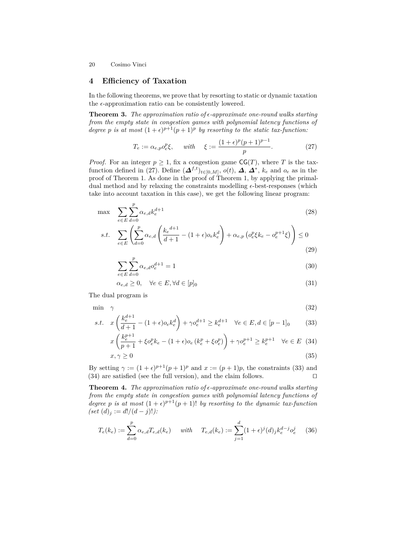# **4 Efficiency of Taxation**

In the following theorems, we prove that by resorting to static or dynamic taxation the  $\epsilon$ -approximation ratio can be consistently lowered.

**Theorem 3.** The approximation ratio of  $\epsilon$ -approximate one-round walks starting *from the empty state in congestion games with polynomial latency functions of degree p is at most*  $(1+\epsilon)^{p+1}(p+1)^p$  *by resorting to the static tax-function:* 

<span id="page-9-3"></span><span id="page-9-0"></span>
$$
T_e := \alpha_{e,p} o_e^p \xi, \quad \text{with} \quad \xi := \frac{(1+\epsilon)^p (p+1)^{p-1}}{p}.
$$
 (27)

*Proof.* For an integer  $p \geq 1$ , fix a congestion game  $CG(T)$ , where *T* is the tax-function defined in [\(27\)](#page-9-0). Define  $(\Delta^{f,t})_{t\in[0,M]}, o(t), \Delta, \Delta^*, k_e$  and  $o_e$  as in the proof of Theorem [1.](#page-5-1) As done in the proof of Theorem [1,](#page-5-1) by applying the primaldual method and by relaxing the constraints modelling  $\epsilon$ -best-responses (which take into account taxation in this case), we get the following linear program:

$$
\max \quad \sum_{e \in E} \sum_{d=0}^{p} \alpha_{e,d} k_e^{d+1} \tag{28}
$$

$$
s.t. \quad \sum_{e \in E} \left( \sum_{d=0}^{p} \alpha_{e,d} \left( \frac{k_e^{d+1}}{d+1} - (1+\epsilon)\sigma_e k_e^d \right) + \alpha_{e,p} \left( \sigma_e^p \xi k_e - \sigma_e^{p+1} \xi \right) \right) \leq 0 \tag{29}
$$

$$
\sum_{e \in E} \sum_{d=0}^{p} \alpha_{e,d} o_e^{d+1} = 1
$$
\n(30)

<span id="page-9-1"></span>
$$
\alpha_{e,d} \ge 0, \quad \forall e \in E, \forall d \in [p]_0 \tag{31}
$$

The dual program is

$$
\min \quad \gamma \tag{32}
$$

s.t. 
$$
x\left(\frac{k_e^{d+1}}{d+1} - (1+\epsilon)o_e k_e^d\right) + \gamma o_e^{d+1} \ge k_e^{d+1} \quad \forall e \in E, d \in [p-1]_0
$$
 (33)

$$
x\left(\frac{k_e^{p+1}}{p+1} + \xi o_e^p k_e - (1+\epsilon) o_e \left(k_e^p + \xi o_e^p\right)\right) + \gamma o_e^{p+1} \ge k_e^{p+1} \quad \forall e \in E \tag{34}
$$

<span id="page-9-2"></span>
$$
x, \gamma \ge 0 \tag{35}
$$

By setting  $\gamma := (1 + \epsilon)^{p+1}(p+1)^p$  and  $x := (p+1)p$ , the constraints [\(33\)](#page-9-1) and  $(34)$  are satisfied (see the full version), and the claim follows.  $\square$ 

<span id="page-9-5"></span>**Theorem 4.** The approximation ratio of  $\epsilon$ -approximate one-round walks starting *from the empty state in congestion games with polynomial latency functions of degree p is at most*  $(1+\epsilon)^{p+1}(p+1)!$  *by resorting to the dynamic tax-function*  $(set(d)_j := d!/(d-j)!$ :

<span id="page-9-4"></span>
$$
T_e(k_e) := \sum_{d=0}^p \alpha_{e,d} T_{e,d}(k_e) \quad \text{with} \quad T_{e,d}(k_e) := \sum_{j=1}^d (1+\epsilon)^j (d)_j k_e^{d-j} o_e^j \tag{36}
$$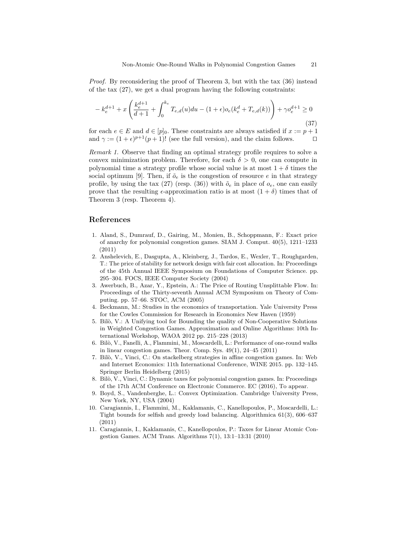*Proof.* By reconsidering the proof of Theorem [3,](#page-9-3) but with the tax [\(36\)](#page-9-4) instead of the tax [\(27\)](#page-9-0), we get a dual program having the following constraints:

$$
-k_e^{d+1} + x\left(\frac{k_e^{d+1}}{d+1} + \int_0^{k_e} T_{e,d}(u)du - (1+\epsilon)o_e(k_e^d + T_{e,d}(k))\right) + \gamma o_e^{d+1} \ge 0
$$
\n(37)

for each  $e \in E$  and  $d \in [p]_0$ . These constraints are always satisfied if  $x := p + 1$ and  $\gamma := (1 + \epsilon)^{p+1}(p+1)!$  (see the full version), and the claim follows.

*Remark 1.* Observe that finding an optimal strategy profile requires to solve a convex minimization problem. Therefore, for each  $\delta > 0$ , one can compute in polynomial time a strategy profile whose social value is at most  $1 + \delta$  times the social optimum [\[9\]](#page-10-10). Then, if  $\tilde{o}_e$  is the congestion of resource *e* in that strategy profile, by using the tax [\(27\)](#page-9-0) (resp. [\(36\)](#page-9-4)) with  $\tilde{o}_e$  in place of  $o_e$ , one can easily prove that the resulting  $\epsilon$ -approximation ratio is at most  $(1 + \delta)$  times that of Theorem [3](#page-9-3) (resp. Theorem [4\)](#page-9-5).

# **References**

- <span id="page-10-3"></span>1. Aland, S., Dumrauf, D., Gairing, M., Monien, B., Schoppmann, F.: Exact price of anarchy for polynomial congestion games. SIAM J. Comput. 40(5), 1211–1233 (2011)
- <span id="page-10-0"></span>2. Anshelevich, E., Dasgupta, A., Kleinberg, J., Tardos, E., Wexler, T., Roughgarden, T.: The price of stability for network design with fair cost allocation. In: Proceedings of the 45th Annual IEEE Symposium on Foundations of Computer Science. pp. 295–304. FOCS, IEEE Computer Society (2004)
- <span id="page-10-2"></span>3. Awerbuch, B., Azar, Y., Epstein, A.: The Price of Routing Unsplittable Flow. In: Proceedings of the Thirty-seventh Annual ACM Symposium on Theory of Computing. pp. 57–66. STOC, ACM (2005)
- <span id="page-10-1"></span>4. Beckmann, M.: Studies in the economics of transportation. Yale University Press for the Cowles Commission for Research in Economics New Haven (1959)
- <span id="page-10-9"></span>5. Bilò, V.: A Unifying tool for Bounding the quality of Non-Cooperative Solutions in Weighted Congestion Games. Approximation and Online Algorithms: 10th International Workshop, WAOA 2012 pp. 215–228 (2013)
- <span id="page-10-7"></span>6. Bilò, V., Fanelli, A., Flammini, M., Moscardelli, L.: Performance of one-round walks in linear congestion games. Theor. Comp. Sys. 49(1), 24–45 (2011)
- <span id="page-10-6"></span>7. Bilò, V., Vinci, C.: On stackelberg strategies in affine congestion games. In: Web and Internet Economics: 11th International Conference, WINE 2015. pp. 132–145. Springer Berlin Heidelberg (2015)
- <span id="page-10-5"></span>8. Bilò, V., Vinci, C.: Dynamic taxes for polynomial congestion games. In: Proceedings of the 17th ACM Conference on Electronic Commerce. EC (2016), To appear.
- <span id="page-10-10"></span>9. Boyd, S., Vandenberghe, L.: Convex Optimization. Cambridge University Press, New York, NY, USA (2004)
- <span id="page-10-8"></span>10. Caragiannis, I., Flammini, M., Kaklamanis, C., Kanellopoulos, P., Moscardelli, L.: Tight bounds for selfish and greedy load balancing. Algorithmica 61(3), 606–637 (2011)
- <span id="page-10-4"></span>11. Caragiannis, I., Kaklamanis, C., Kanellopoulos, P.: Taxes for Linear Atomic Congestion Games. ACM Trans. Algorithms 7(1), 13:1–13:31 (2010)